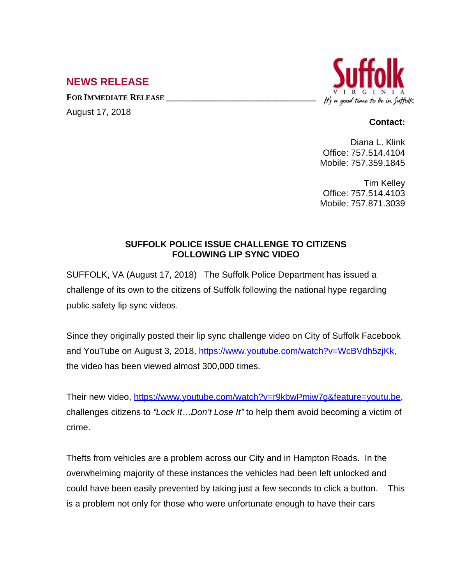## **NEWS RELEASE**

**FOR IMMEDIATE RELEASE \_\_\_\_\_\_\_\_\_\_\_\_\_\_\_\_\_\_\_\_\_\_\_\_\_\_\_\_\_\_\_\_\_\_**

August 17, 2018



## **Contact:**

Diana L. Klink Office: 757.514.4104 Mobile: 757.359.1845

Tim Kelley Office: 757.514.4103 Mobile: 757.871.3039

## **SUFFOLK POLICE ISSUE CHALLENGE TO CITIZENS FOLLOWING LIP SYNC VIDEO**

SUFFOLK, VA (August 17, 2018) The Suffolk Police Department has issued a challenge of its own to the citizens of Suffolk following the national hype regarding public safety lip sync videos.

Since they originally posted their lip sync challenge video on City of Suffolk Facebook and YouTube on August 3, 2018, [https://www.youtube.com/watch?v=WcBVdh5zjKk,](https://www.youtube.com/watch?v=WcBVdh5zjKk) the video has been viewed almost 300,000 times.

Their new video, [https://www.youtube.com/watch?v=r9kbwPmiw7g&feature=youtu.be,](https://www.youtube.com/watch?v=r9kbwPmiw7g&feature=youtu.be) challenges citizens to *"Lock It…Don't Lose It"* to help them avoid becoming a victim of crime.

Thefts from vehicles are a problem across our City and in Hampton Roads. In the overwhelming majority of these instances the vehicles had been left unlocked and could have been easily prevented by taking just a few seconds to click a button. This is a problem not only for those who were unfortunate enough to have their cars